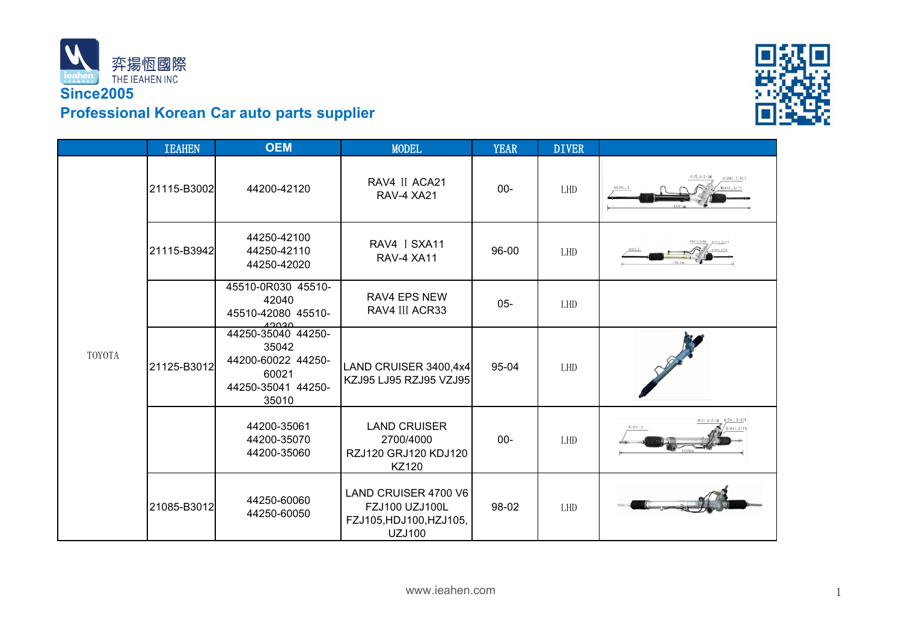



|        | <b>IEAHEN</b> | <b>OEM</b>                                                                                | <b>MODEL</b>                                                                              | <b>YEAR</b> | <b>DIVER</b> |                                             |
|--------|---------------|-------------------------------------------------------------------------------------------|-------------------------------------------------------------------------------------------|-------------|--------------|---------------------------------------------|
| TOYOTA | 21115-B3002   | 44200-42120                                                                               | RAV4 II ACA21<br>RAV-4 XA21                                                               | $00 -$      | LHD          | $017.3/Z = 36$<br>¥17*1.5/AUT<br>N16*1.5/13 |
|        | 21115-B3942   | 44250-42100<br>44250-42110<br>44250-42020                                                 | RAV4 I SXA11<br><b>RAV-4 XA11</b>                                                         | 96-00       | LHD          |                                             |
|        |               | 45510-0R030 45510-<br>42040<br>45510-42080 45510-<br>معمصه                                | RAV4 EPS NEW<br>RAV4 III ACR33                                                            | $05 -$      | LHD          |                                             |
|        | 21125-B3012   | 44250-35040 44250-<br>35042<br>44200-60022 44250-<br>60021<br>44250-35041 44250-<br>35010 | LAND CRUISER 3400,4x4<br>KZJ95 LJ95 RZJ95 VZJ95                                           | 95-04       | LHD          |                                             |
|        |               | 44200-35061<br>44200-35070<br>44200-35060                                                 | <b>LAND CRUISER</b><br>2700/4000<br>RZJ120 GRJ120 KDJ120<br>KZ120                         | $00 -$      | LHD          | N:5*1.5                                     |
|        | 21085-B3012   | 44250-60060<br>44250-60050                                                                | LAND CRUISER 4700 V6<br><b>FZJ100 UZJ100L</b><br>FZJ105, HDJ100, HZJ105,<br><b>UZJ100</b> | 98-02       | LHD          |                                             |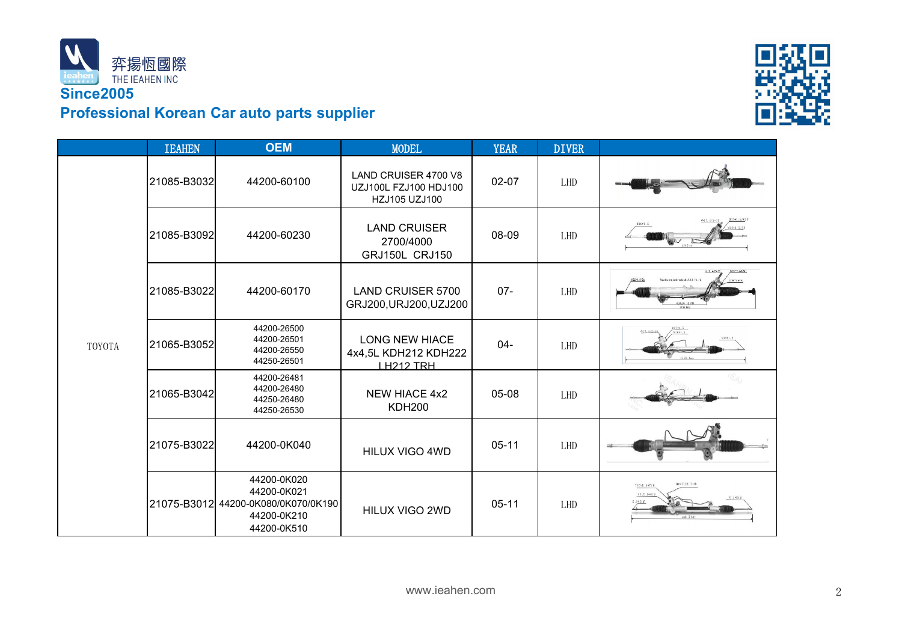



|               | <b>IEAHEN</b> | <b>OEM</b>                                                                                      | <b>MODEL</b>                                                          | <b>YEAR</b> | <b>DIVER</b> |                                      |
|---------------|---------------|-------------------------------------------------------------------------------------------------|-----------------------------------------------------------------------|-------------|--------------|--------------------------------------|
| <b>TOYOTA</b> | 21085-B3032   | 44200-60100                                                                                     | <b>LAND CRUISER 4700 V8</b><br>UZJ100L FZJ100 HDJ100<br>HZJ105 UZJ100 | $02 - 07$   | LHD          |                                      |
|               | 21085-B3092   | 44200-60230                                                                                     | <b>LAND CRUISER</b><br>2700/4000<br><b>GRJ150L CRJ150</b>             | 08-09       | LHD          |                                      |
|               | 21085-B3022   | 44200-60170                                                                                     | <b>LAND CRUISER 5700</b><br>GRJ200, URJ200, UZJ200                    | $07 -$      | <b>LHD</b>   | otal turns lock to lock: 3.12   0.12 |
|               | 21065-B3052   | 44200-26500<br>44200-26501<br>44200-26550<br>44250-26501                                        | <b>LONG NEW HIACE</b><br>4x4,5L KDH212 KDH222<br><u>H212 TRH</u>      | $04 -$      | <b>LHD</b>   |                                      |
|               | 21065-B3042   | 44200-26481<br>44200-26480<br>44250-26480<br>44250-26530                                        | <b>NEW HIACE 4x2</b><br><b>KDH200</b>                                 | 05-08       | LHD          |                                      |
|               | 21075-B3022   | 44200-0K040                                                                                     | HILUX VIGO 4WD                                                        | $05-11$     | LHD          |                                      |
|               |               | 44200-0K020<br>44200-0K021<br>21075-B3012 44200-0K080/0K070/0K190<br>44200-0K210<br>44200-0K510 | HILUX VIGO 2WD                                                        | $05 - 11$   | <b>LHD</b>   | $017.33/2 = 36$<br>N)701.5/007       |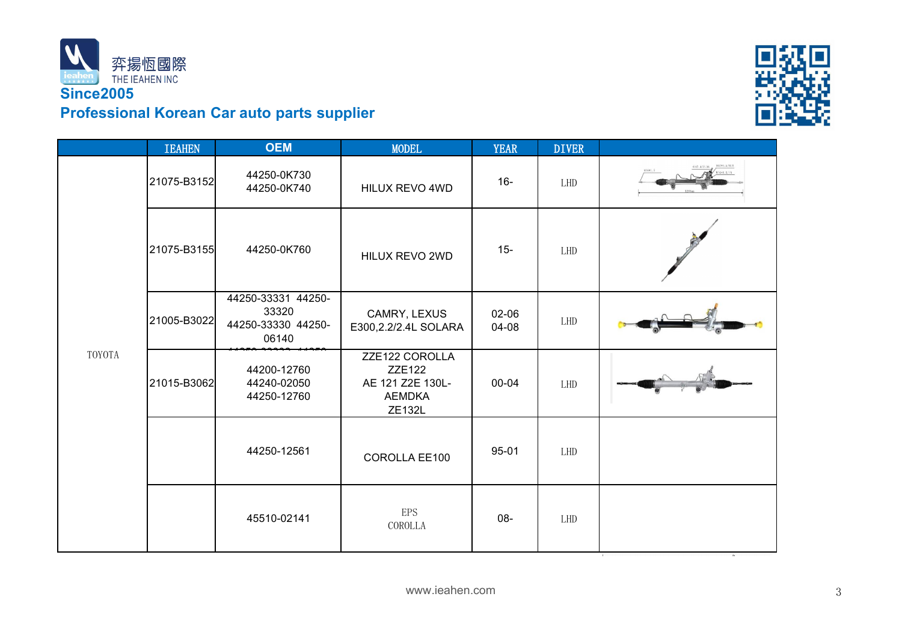



|        | <b>IEAHEN</b> | <b>OEM</b>                                                 | <b>MODEL</b>                                                                   | <b>YEAR</b>    | <b>DIVER</b> |  |
|--------|---------------|------------------------------------------------------------|--------------------------------------------------------------------------------|----------------|--------------|--|
| TOYOTA | 21075-B3152   | 44250-0K730<br>44250-0K740                                 | HILUX REVO 4WD                                                                 | $16-$          | LHD          |  |
|        | 21075-B3155   | 44250-0K760                                                | HILUX REVO 2WD                                                                 | $15 -$         | LHD          |  |
|        | 21005-B3022   | 44250-33331 44250-<br>33320<br>44250-33330 44250-<br>06140 | CAMRY, LEXUS<br>E300,2.2/2.4L SOLARA                                           | 02-06<br>04-08 | LHD          |  |
|        | 21015-B3062   | 44200-12760<br>44240-02050<br>44250-12760                  | ZZE122 COROLLA<br><b>ZZE122</b><br>AE 121 Z2E 130L-<br><b>AEMDKA</b><br>ZE132L | 00-04          | LHD          |  |
|        |               | 44250-12561                                                | COROLLA EE100                                                                  | 95-01          | LHD          |  |
|        |               | 45510-02141                                                | <b>EPS</b><br>COROLLA                                                          | 08-            | LHD          |  |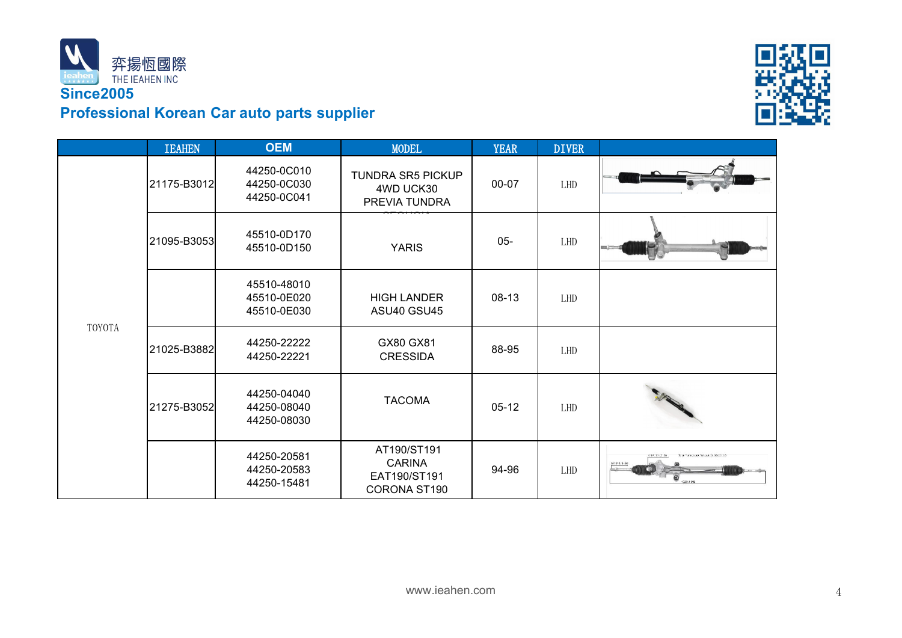



|        | <b>IEAHEN</b> | <b>OEM</b>                                | <b>MODEL</b>                                                 | <b>YEAR</b> | <b>DIVER</b> |                           |
|--------|---------------|-------------------------------------------|--------------------------------------------------------------|-------------|--------------|---------------------------|
| TOYOTA | 21175-B3012   | 44250-0C010<br>44250-0C030<br>44250-0C041 | <b>TUNDRA SR5 PICKUP</b><br>4WD UCK30<br>PREVIA TUNDRA       | 00-07       | LHD          |                           |
|        | 21095-B3053   | 45510-0D170<br>45510-0D150                | <b>YARIS</b>                                                 | $05 -$      | ${\rm LHD}$  |                           |
|        |               | 45510-48010<br>45510-0E020<br>45510-0E030 | <b>HIGH LANDER</b><br>ASU40 GSU45                            | 08-13       | LHD          |                           |
|        | 21025-B3882   | 44250-22222<br>44250-22221                | GX80 GX81<br><b>CRESSIDA</b>                                 | 88-95       | LHD          |                           |
|        | 21275-B3052   | 44250-04040<br>44250-08040<br>44250-08030 | <b>TACOMA</b>                                                | $05-12$     | LHD          |                           |
|        |               | 44250-20581<br>44250-20583<br>44250-15481 | AT190/ST191<br><b>CARINA</b><br>EAT190/ST191<br>CORONA ST190 | 94-96       | LHD          | $17.37 / Z$ 36<br>$\odot$ |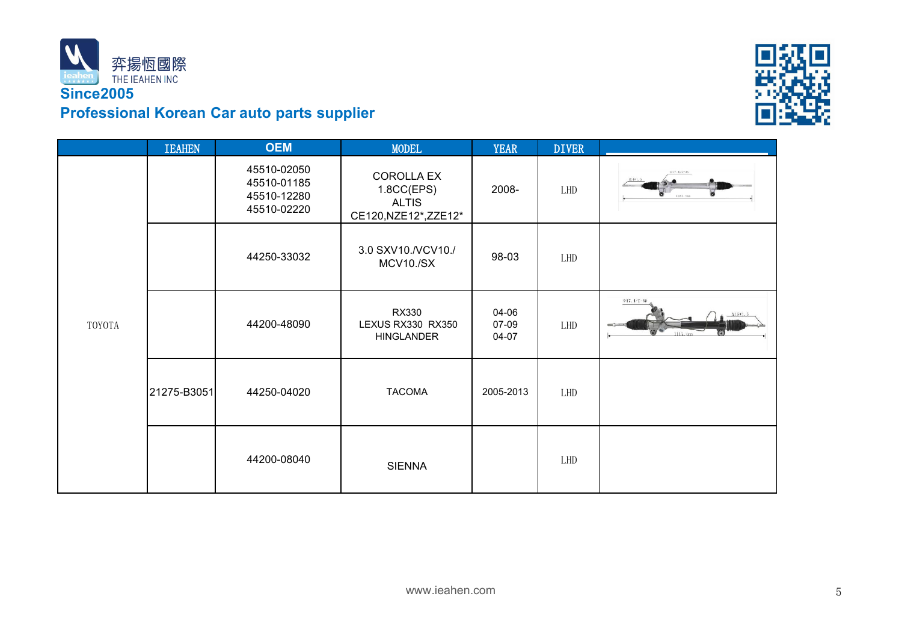



|        | <b>IEAHEN</b> | <b>OEM</b>                                               | <b>MODEL</b>                                                             | <b>YEAR</b>             | <b>DIVER</b> |                                 |
|--------|---------------|----------------------------------------------------------|--------------------------------------------------------------------------|-------------------------|--------------|---------------------------------|
| TOYOTA |               | 45510-02050<br>45510-01185<br>45510-12280<br>45510-02220 | <b>COROLLA EX</b><br>1.8CC(EPS)<br><b>ALTIS</b><br>CE120, NZE12*, ZZE12* | 2008-                   | LHD          | $017.4/2 - 36$<br>۰<br>1057.5mm |
|        |               | 44250-33032                                              | 3.0 SXV10./VCV10./<br>MCV10./SX                                          | 98-03                   | LHD          |                                 |
|        |               | 44200-48090                                              | RX330<br>LEXUS RX330 RX350<br><b>HINGLANDER</b>                          | 04-06<br>07-09<br>04-07 | LHD          | $@17.4/2-36$                    |
|        | 21275-B3051   | 44250-04020                                              | <b>TACOMA</b>                                                            | 2005-2013               | LHD          |                                 |
|        |               | 44200-08040                                              | <b>SIENNA</b>                                                            |                         | LHD          |                                 |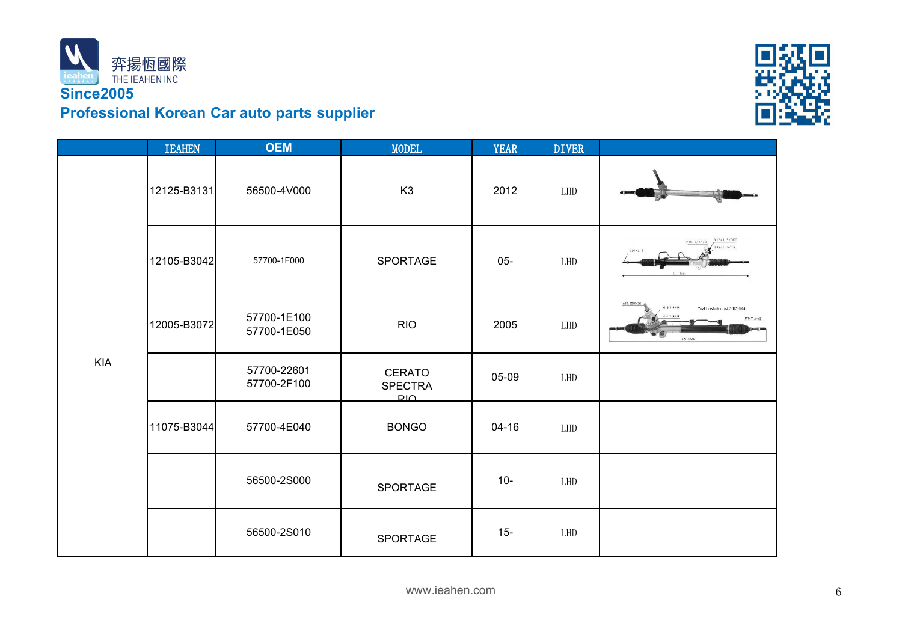



|            | <b>IEAHEN</b> | <b>OEM</b>                 | <b>MODEL</b>                           | <b>YEAR</b> | <b>DIVER</b> |                                                                                             |
|------------|---------------|----------------------------|----------------------------------------|-------------|--------------|---------------------------------------------------------------------------------------------|
| <b>KIA</b> | 12125-B3131   | 56500-4V000                | K <sub>3</sub>                         | 2012        | LHD          |                                                                                             |
|            | 12105-B3042   | 57700-1F000                | SPORTAGE                               | $05 -$      | LHD          | M16*1.5/OUT<br>$016.5/\ell = 36.$<br>V16*1.5/IN<br>¥16*1.5                                  |
|            | 12005-B3072   | 57700-1E100<br>57700-1E050 | <b>RIO</b>                             | 2005        | LHD          | g16.56/2=36<br>M16*1.5-8H<br>Total turns lock to lock:3.115±0.05<br>M14*1.5-8g<br>1051.5 MM |
|            |               | 57700-22601<br>57700-2F100 | <b>CERATO</b><br><b>SPECTRA</b><br>صبع | 05-09       | LHD          |                                                                                             |
|            | 11075-B3044   | 57700-4E040                | <b>BONGO</b>                           | $04-16$     | LHD          |                                                                                             |
|            |               | 56500-2S000                | SPORTAGE                               | $10 -$      | LHD          |                                                                                             |
|            |               | 56500-2S010                | SPORTAGE                               | $15 -$      | LHD          |                                                                                             |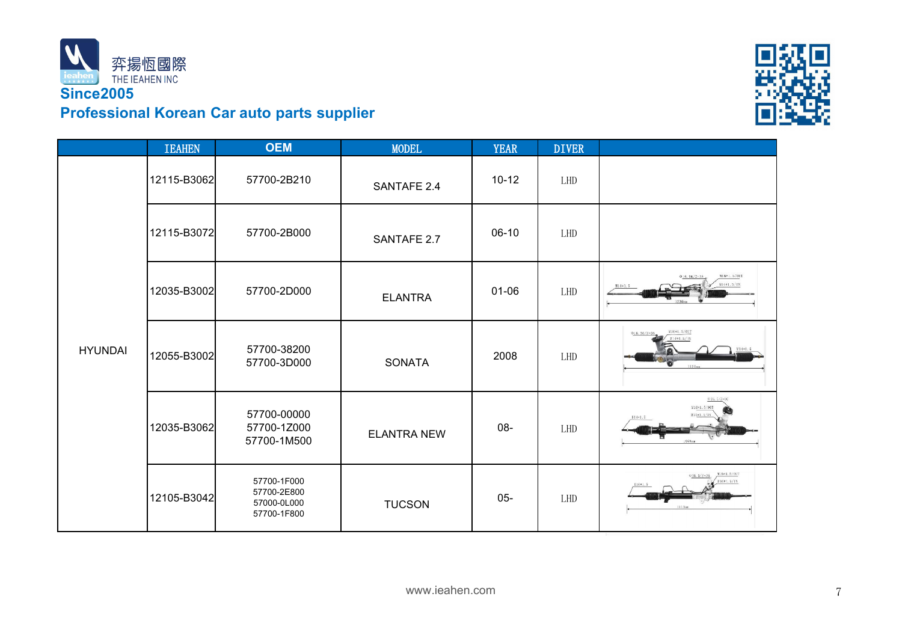



|                | <b>IEAHEN</b> | <b>OEM</b>                                               | <b>MODEL</b>       | <b>YEAR</b> | <b>DIVER</b> |                                                           |
|----------------|---------------|----------------------------------------------------------|--------------------|-------------|--------------|-----------------------------------------------------------|
| <b>HYUNDAI</b> | 12115-B3062   | 57700-2B210                                              | SANTAFE 2.4        | $10-12$     | LHD          |                                                           |
|                | 12115-B3072   | 57700-2B000                                              | SANTAFE 2.7        | $06-10$     | LHD          |                                                           |
|                | 12035-B3002   | 57700-2D000                                              | <b>ELANTRA</b>     | $01 - 06$   | LHD          | N1691.5/OUT<br>$6.56/7 - 38$<br>M14#1.5/IN                |
|                | 12055-B3002   | 57700-38200<br>57700-3D000                               | SONATA             | 2008        | LHD          | M16*1.5/OUT<br>$\Phi$ 16.56/2=36<br>$14*1.5/18$<br>1121nn |
|                | 12035-B3062   | 57700-00000<br>57700-1Z000<br>57700-1M500                | <b>ELANTRA NEW</b> | 08-         | LHD          | $@16.5/Z=36$<br>W16*1.5/OUT                               |
|                | 12105-B3042   | 57700-1F000<br>57700-2E800<br>57000-0L000<br>57700-1F800 | <b>TUCSON</b>      | $05-$       | LHD          | M16*1.5/OUT<br>$016.5/2=36$<br>$(1681 - 5/19)$            |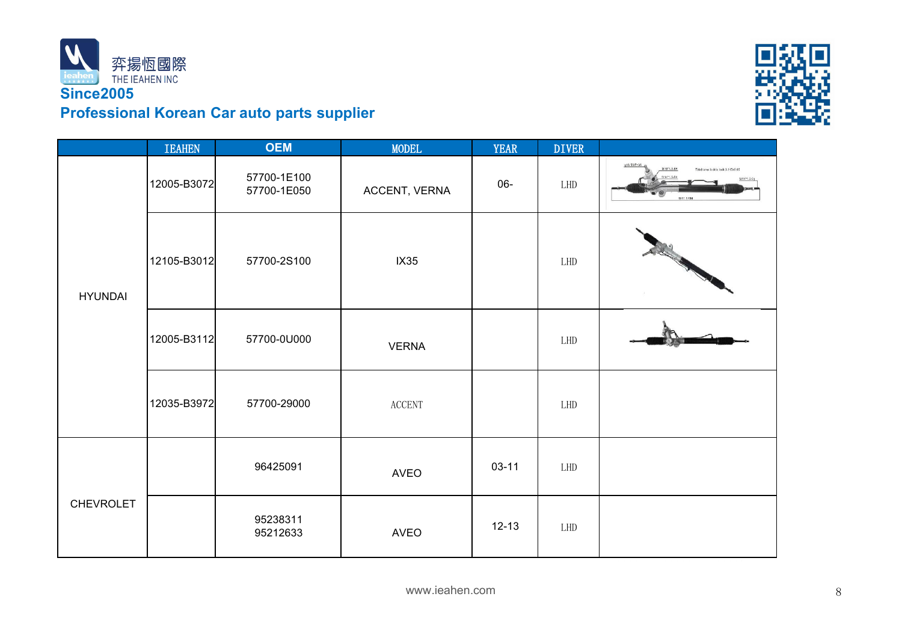



|                  | <b>IEAHEN</b> | <b>OEM</b>                 | <b>MODEL</b>            | <b>YEAR</b> | <b>DIVER</b> |                                                                  |
|------------------|---------------|----------------------------|-------------------------|-------------|--------------|------------------------------------------------------------------|
| <b>HYUNDAI</b>   | 12005-B3072   | 57700-1E100<br>57700-1E050 | ACCENT, VERNA           | 06-         | ${\rm LHD}$  | g16.56/2=3<br>M16*1.5-6H<br>Total turns lock to lock: 3.115±0.05 |
|                  | 12105-B3012   | 57700-2S100                | IX35                    |             | LHD          | A REGISTRATION                                                   |
|                  | 12005-B3112   | 57700-0U000                | <b>VERNA</b>            |             | LHD          |                                                                  |
|                  | 12035-B3972   | 57700-29000                | $\operatorname{ACCENT}$ |             | LHD          |                                                                  |
| <b>CHEVROLET</b> |               | 96425091                   | <b>AVEO</b>             | $03 - 11$   | LHD          |                                                                  |
|                  |               | 95238311<br>95212633       | <b>AVEO</b>             | $12 - 13$   | LHD          |                                                                  |